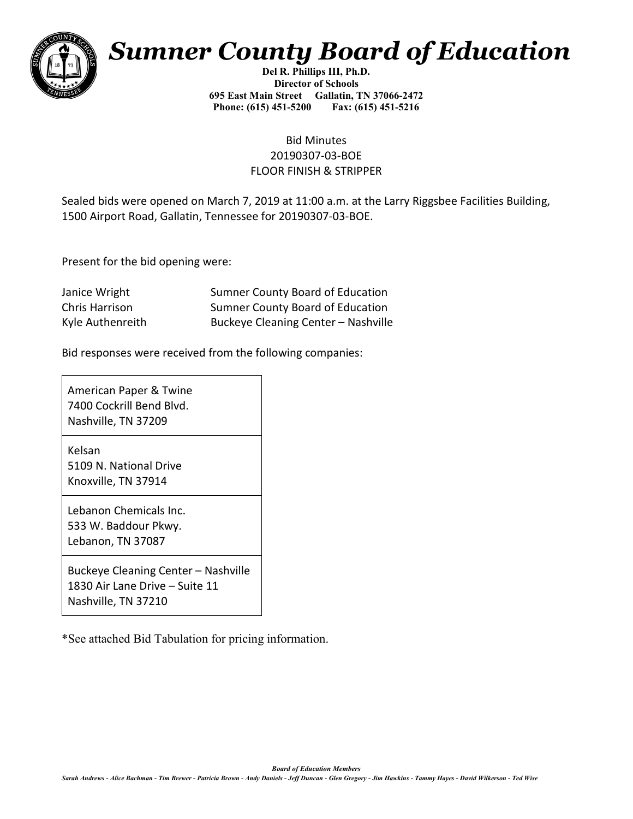

## *Sumner County Board of Education*

**Del R. Phillips III, Ph.D. Director of Schools 695 East Main Street Gallatin, TN 37066-2472 Phone: (615) 451-5200 Fax: (615) 451-5216** 

## Bid Minutes 20190307-03-BOE FLOOR FINISH & STRIPPER

Sealed bids were opened on March 7, 2019 at 11:00 a.m. at the Larry Riggsbee Facilities Building, 1500 Airport Road, Gallatin, Tennessee for 20190307-03-BOE.

Present for the bid opening were:

| Janice Wright    | <b>Sumner County Board of Education</b> |
|------------------|-----------------------------------------|
| Chris Harrison   | <b>Sumner County Board of Education</b> |
| Kyle Authenreith | Buckeye Cleaning Center - Nashville     |

Bid responses were received from the following companies:

American Paper & Twine 7400 Cockrill Bend Blvd. Nashville, TN 37209

Kelsan 5109 N. National Drive Knoxville, TN 37914

Lebanon Chemicals Inc. 533 W. Baddour Pkwy. Lebanon, TN 37087

Buckeye Cleaning Center – Nashville 1830 Air Lane Drive – Suite 11 Nashville, TN 37210

\*See attached Bid Tabulation for pricing information.